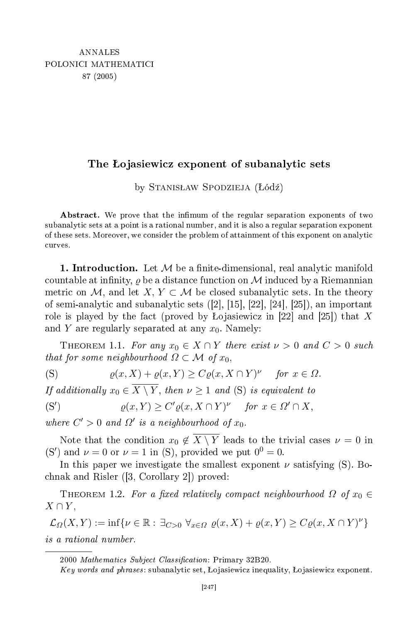## the objective contract of subanalytical contract of subanalytical contract of subanalytical contract of subana

by Stanisław Spodzieja (Łódź)

Abstract. We prove that the infimum of the regular separation exponents of two subanalyti sets at a point is a rational number, and it is also a regular separation exponent of these sets. Moreover, we onsider the problem of attainment of this exponent on analyti curves.

**1. Introduction.** Let  $M$  be a finite-dimensional, real analytic manifold countable at infinity,  $\rho$  be a distance function on M induced by a Riemannian metric on M, and let  $X, Y \subset M$  be closed subanalytic sets. In the theory of semi-analytic and subanalytic sets  $([2], [15], [22], [24], [25])$ , an important role is played by the fact (proved by Lojasiewicz in [22] and [25]) that X and Y are regularly separated at any  $x_0$ . Namely:

THEOREM 1.1. For any  $x_0 \in X \cap Y$  there exist  $\nu > 0$  and  $C > 0$  such that for some neighbourhood  $\Omega \subset \mathcal{M}$  of  $x_0$ ,

$$
\text{(S)} \quad \rho(x, X) + \rho(x, Y) \ge C\rho(x, X \cap Y)^{\nu} \quad \text{for } x \in \Omega.
$$

If additionally  $x_0 \in X \setminus Y$ , then  $\nu \geq 1$  and (S) is equivalent to

$$
(S') \qquad \qquad \varrho(x,Y) \ge C' \varrho(x,X \cap Y)^{\nu} \quad \text{for } x \in \Omega' \cap X,
$$

where  $C' > 0$  and  $\Omega'$  is a neighbourhood of  $x_0$ .

Note that the condition  $x_0 \notin \overline{X \setminus Y}$  leads to the trivial cases  $\nu = 0$  in (S') and  $\nu = 0$  or  $\nu = 1$  in (S), provided we put  $0^0 = 0$ .

In this paper we investigate the smallest exponent  $\nu$  satisfying (S). Bochnak and Risler  $([3, Corollary 2])$  proved:

THEOREM 1.2. For a fixed relatively compact neighbourhood  $\Omega$  of  $x_0 \in$  $X \cap Y$ ,

 $\mathcal{L}_{\Omega}(X,Y) := \inf \{ \nu \in \mathbb{R} : \exists_{C>0} \ \forall_{x \in \Omega} \ \varrho(x,X) + \varrho(x,Y) \geq C \varrho(x,X \cap Y)^{\nu} \}$ 

<sup>2000</sup> Mathematics Subject Classification: Primary 32B20.

Key words and phrases: subanalytic set, Lojasiewicz inequality, Lojasiewicz exponent.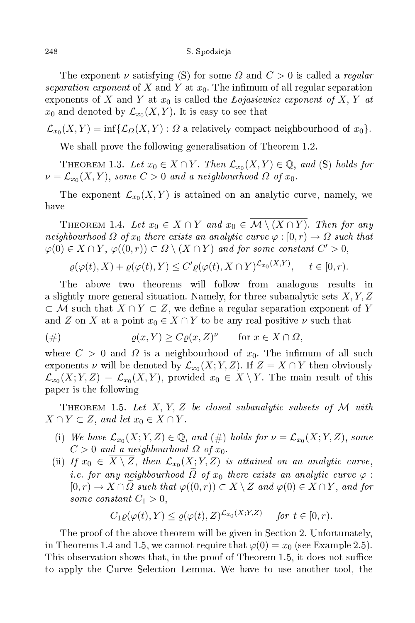The exponent  $\nu$  satisfying (S) for some  $\Omega$  and  $C > 0$  is called a regular separation exponent of X and Y at  $x_0$ . The infimum of all regular separation exponents of X and Y at  $x_0$  is called the *Lojasiewicz exponent of X, Y at*  $x_0$  and denoted by  $\mathcal{L}_{x_0}(X,Y).$  It is easy to see that

 $\mathcal{L}_{x_0}(X,Y) = \inf\{\mathcal{L}_{\varOmega}(X,Y):\varOmega \text{ a relatively compact neighbourhood of }x_0\}.$ 

We shall prove the following generalisation of Theorem 1.2.

THEOREM 1.3. Let  $x_0 \in X \cap Y$ . Then  $\mathcal{L}_{x_0}(X, Y) \in \mathbb{Q}$ , and (S) holds for  $\nu = \mathcal{L}_{x_0}(X,Y),$  some  $C>0$  and a neighbourhood  $\Omega$  of  $x_0.$ 

The exponent  $\mathcal{L}_{x_0}(X,Y)$  is attained on an analytic curve, namely, we have

THEOREM 1.4. Let  $x_0 \in X \cap Y$  and  $x_0 \in \overline{\mathcal{M} \setminus (X \cap Y)}$ . Then for any neighbourhood  $\Omega$  of  $x_0$  there exists an analytic curve  $\varphi:[0,r)\to\Omega$  such that  $\varphi(0) \in X \cap Y$ ,  $\varphi((0,r)) \subset \Omega \setminus (X \cap Y)$  and for some constant  $C' > 0$ ,

$$
\varrho(\varphi(t), X) + \varrho(\varphi(t), Y) \le C' \varrho(\varphi(t), X \cap Y)^{\mathcal{L}_{x_0}(X, Y)}, \quad t \in [0, r).
$$

The above two theorems will follow from analogous results in a slightly more general situation. Namely, for three subanalytic sets  $X, Y, Z$  $\subset \mathcal{M}$  such that  $X \cap Y \subset Z$ , we define a regular separation exponent of Y and Z on X at a point  $x_0 \in X \cap Y$  to be any real positive  $\nu$  such that

$$
(\#) \quad \rho(x, Y) \ge C\rho(x, Z)^{\nu} \quad \text{for } x \in X \cap \Omega,
$$

where  $C > 0$  and  $\Omega$  is a neighbourhood of  $x_0$ . The infimum of all such exponents  $\nu$  will be denoted by  $\mathcal{L}_{x_0}(X;Y,Z)$ . If  $Z=X\cap Y$  then obviously  ${\mathcal L}_{x_0}(X;Y,Z) \,=\, {\mathcal L}_{x_0}(X,Y),$  provided  $x_0\, \in\, X\setminus Y.$  The main result of this paper is the following

THEOREM 1.5. Let X, Y, Z be closed subanalytic subsets of M with  $X \cap Y \subset Z$ , and let  $x_0 \in X \cap Y$ .

- (i) We have  $\mathcal{L}_{x_0}(X;Y,Z) \in \mathbb{Q}$ , and  $(\#)$  holds for  $\nu = \mathcal{L}_{x_0}(X;Y,Z)$ , some  $C > 0$  and a neighbourhood  $\Omega$  of  $x_0$ .
- (ii) If  $x_0 \in X \setminus Z$ , then  $\mathcal{L}_{x_0}(X;Y,Z)$  is attained on an analytic curve, i.e. for any neighbourhood  $\Omega$  of  $x_0$  there exists an analytic curve  $\varphi$  :  $[0, r] \to X \cap \Omega$  such that  $\varphi((0, r)) \subset X \setminus Z$  and  $\varphi(0) \in X \cap Y$ , and for some constant  $C_1 > 0$ ,

$$
C_1 \varrho(\varphi(t), Y) \le \varrho(\varphi(t), Z)^{\mathcal{L}_{x_0}(X; Y, Z)} \quad \text{for } t \in [0, r).
$$

The proof of the above theorem will be given in Section 2. Unfortunately, in Theorems 1.4 and 1.5, we cannot require that  $\varphi(0) = x_0$  (see Example 2.5). This observation shows that, in the proof of Theorem 1.5, it does not suffice to apply the Curve Sele
tion Lemma. We have to use another tool, the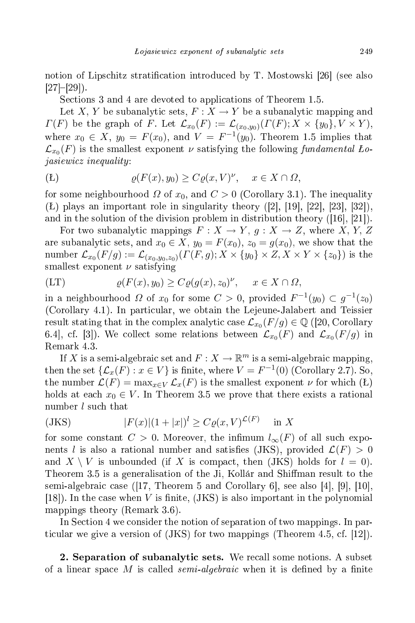notion of Lipschitz stratification introduced by T. Mostowski [26] (see also  $[27]-[29]$ .

Se
tions 3 and 4 are devoted to appli
ations of Theorem 1.5.

Let X, Y be subanalytic sets,  $F: X \to Y$  be a subanalytic mapping and  $\varGamma(F)$  be the graph of F. Let  $\mathcal{L}_{x_0}(F) := \mathcal{L}_{(x_0,y_0)}(\varGamma(F);X\times\{y_0\},V\times Y),$ where  $x_0 \in X$ ,  $y_0 = F(x_0)$ , and  $V = F^{-1}(y_0)$ . Theorem 1.5 implies that  $\mathcal{L}_{x_0}(F)$  is the smallest exponent  $\nu$  satisfying the following fundamental  $\emph{Lo-}$ jasiewi
z inequality :

$$
\varrho(F(x), y_0) \ge C\varrho(x, V)^{\nu}, \quad x \in X \cap \Omega,
$$

for some neighbourhood  $\Omega$  of  $x_0$ , and  $C > 0$  (Corollary 3.1). The inequality  $(L)$  plays an important role in singularity theory  $([2], [19], [22], [23], [32])$ , and in the solution of the division problem in distribution theory  $([16], [21])$ .

For two subanalytic mappings  $F: X \to Y$ ,  $g: X \to Z$ , where X, Y, Z are subanalytic sets, and  $x_0 \in X$ ,  $y_0 = F(x_0)$ ,  $z_0 = g(x_0)$ , we show that the number  ${\mathcal L}_{x_0}(F/g):={\mathcal L}_{(x_0,y_0,z_0)}(\varGamma(F,g);X\times\{y_0\}\times Z,X\times Y\times\{z_0\})$  is the smallest exponent  $\nu$  satisfying

$$
(LT) \t\t \varrho(F(x), y_0) \ge C \varrho(g(x), z_0)^{\nu}, \quad x \in X \cap \Omega,
$$

in a neighbourhood  $\Omega$  of  $x_0$  for some  $C > 0$ , provided  $F^{-1}(y_0) \subset g^{-1}(z_0)$ (Corollary 4.1). In particular, we obtain the Lejeune-Jalabert and Teissier result stating that in the complex analytic case  $\mathcal{L}_{x_0}(F/g)\in\mathbb{Q}$  ([20, Corollary 6.4, cf. [3]). We collect some relations between  $\mathcal{L}_{x_0}(F)$  and  $\mathcal{L}_{x_0}(F/g)$  in Remark 4.3.

If X is a semi-algebraic set and  $F: X \to \mathbb{R}^m$  is a semi-algebraic mapping, then the set  $\{\mathcal{L}_x(F) : x \in V\}$  is finite, where  $V = F^{-1}(0)$  (Corollary 2.7). So, the number  $\mathcal{L}(F) = \max_{x \in V} \mathcal{L}_x(F)$  is the smallest exponent  $\nu$  for which  $(E)$ holds at each  $x_0 \in V$ . In Theorem 3.5 we prove that there exists a rational number *l* such that

$$
|F(x)|(1+|x|)^{l} \ge C\varrho(x,V)^{\mathcal{L}(F)} \quad \text{in } X
$$

for some constant  $C > 0$ . Moreover, the infimum  $l_{\infty}(F)$  of all such exponents l is also a rational number and satisfies (JKS), provided  $\mathcal{L}(F) > 0$ and  $X \setminus V$  is unbounded (if X is compact, then (JKS) holds for  $l = 0$ ). Theorem 3.5 is a generalisation of the Ji, Kollár and Shiman result to the semi-algebraic case (17, Theorem 5 and Corollary 6, see also  $[4]$ ,  $[9]$ ,  $[10]$ ,  $(18)$ . In the case when V is finite,  $(JKS)$  is also important in the polynomial mappings theory (Remark 3.6).

In Section 4 we consider the notion of separation of two mappings. In particular we give a version of  $(JKS)$  for two mappings (Theorem 4.5, cf. [12]).

2. Separation of subanalytic sets. We recall some notions. A subset of a linear space M is called *semi-algebraic* when it is defined by a finite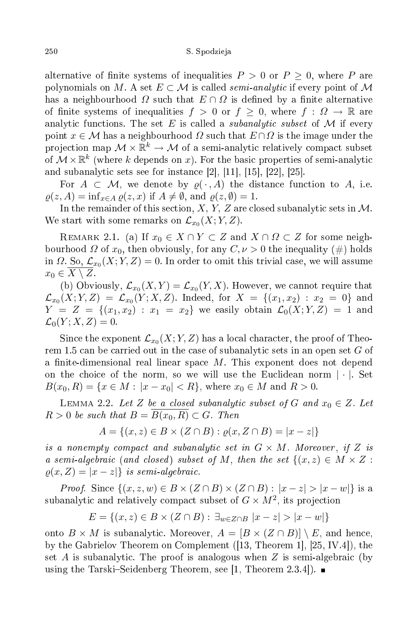alternative of finite systems of inequalities  $P > 0$  or  $P \ge 0$ , where P are polynomials on M. A set  $E \subset M$  is called *semi-analytic* if every point of M has a neighbourhood  $\Omega$  such that  $E \cap \Omega$  is defined by a finite alternative of finite systems of inequalities  $f > 0$  or  $f \geq 0$ , where  $f : \Omega \to \mathbb{R}$  are analytic functions. The set E is called a *subanalytic subset* of M if every point  $x \in \mathcal{M}$  has a neighbourhood  $\Omega$  such that  $E \cap \Omega$  is the image under the projection map  $\mathcal{M} \times \mathbb{R}^k \to \mathcal{M}$  of a semi-analytic relatively compact subset of  $\mathcal{M}\times\mathbb{R}^k$  (where  $k$  depends on  $x$ ). For the basic properties of semi-analytic and subanalytic sets see for instance  $[2]$ ,  $[11]$ ,  $[15]$ ,  $[22]$ ,  $[25]$ .

For  $A \subset \mathcal{M}$ , we denote by  $\varrho(\cdot, A)$  the distance function to A, i.e.  $\varrho(z, A) = \inf_{x \in A} \varrho(z, x)$  if  $A \neq \emptyset$ , and  $\varrho(z, \emptyset) = 1$ .

In the remainder of this section,  $X, Y, Z$  are closed subanalytic sets in  $M$ . We start with some remarks on  $\mathcal{L}_{x_0}(X;Y,Z).$ 

REMARK 2.1. (a) If  $x_0 \in X \cap Y \subset Z$  and  $X \cap \Omega \subset Z$  for some neighbourhood  $\Omega$  of  $x_0$ , then obviously, for any  $C, \nu > 0$  the inequality  $(\#)$  holds in  $\Omega$ . So,  $\mathcal{L}_{x_0}(X;Y,Z)=0$ . In order to omit this trivial case, we will assume  $x_0 \in X \setminus Z$ .

(b) Obviously,  $\mathcal{L}_{x_0}(X,Y) = \mathcal{L}_{x_0}(Y,X)$ . However, we cannot require that  ${\mathcal L}_{x_0}(X;Y,Z) \ = \ {\mathcal L}_{x_0}(Y;X,Z).$  Indeed, for  $X \ = \ \{(x_1,x_2) \ : \ x_2 \ = \ 0\}$  and  $Y = Z = \{(x_1, x_2) : x_1 = x_2\}$  we easily obtain  $\mathcal{L}_0(X; Y, Z) = 1$  and  $\mathcal{L}_0(Y; X, Z) = 0.$ 

Since the exponent  $\mathcal{L}_{x_0}(X;Y,Z)$  has a local character, the proof of Theorem 1.5 can be carried out in the case of subanalytic sets in an open set  $G$  of a finite-dimensional real linear space M. This exponent does not depend on the choice of the norm, so we will use the Euclidean norm  $|\cdot|$ . Set  $B(x_0, R) = \{x \in M : |x - x_0| < R\}$ , where  $x_0 \in M$  and  $R > 0$ .

LEMMA 2.2. Let Z be a closed subanalytic subset of G and  $x_0 \in Z$ . Let  $R > 0$  be such that  $B = \overline{B(x_0, R)} \subset G$ . Then

$$
A = \{(x, z) \in B \times (Z \cap B) : \varrho(x, Z \cap B) = |x - z|\}
$$

is a nonempty compact and subanalytic set in  $G \times M$ . Moreover, if Z is a semi-algebraic (and closed) subset of M, then the set  $\{(x, z) \in M \times Z :$  $\rho(x, Z) = |x - z|\}$  is semi-algebraic.

*Proof.* Since  $\{(x, z, w) \in B \times (Z \cap B) \times (Z \cap B) : |x - z| > |x - w|\}$  is a subanalytic and relatively compact subset of  $G\times M^2,$  its projection

$$
E = \{(x, z) \in B \times (Z \cap B) : \exists_{w \in Z \cap B} |x - z| > |x - w|\}
$$

onto  $B \times M$  is subanalytic. Moreover,  $A = [B \times (Z \cap B)] \setminus E$ , and hence, by the Gabrielov Theorem on Complement  $([13,$  Theorem 1,  $[25,$  IV.4 $])$ , the set A is subanalytic. The proof is analogous when  $Z$  is semi-algebraic (by using the Tarski-Seidenberg Theorem, see [1, Theorem 2.3.4]).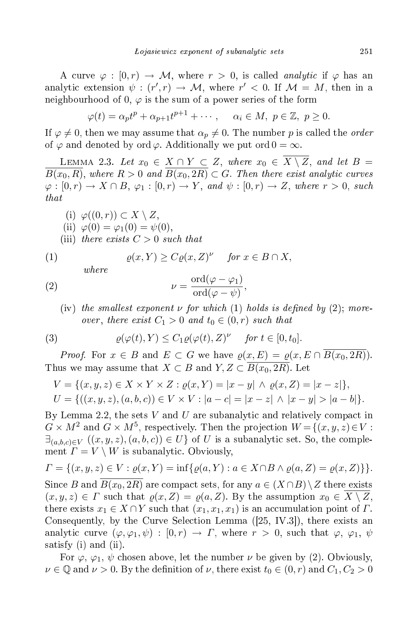A curve  $\varphi : [0, r) \to M$ , where  $r > 0$ , is called *analytic* if  $\varphi$  has an analytic extension  $\psi : (r', r) \to M$ , where  $r' < 0$ . If  $\mathcal{M} = M$ , then in a neighbourhood of 0,  $\varphi$  is the sum of a power series of the form

$$
\varphi(t) = \alpha_p t^p + \alpha_{p+1} t^{p+1} + \cdots, \quad \alpha_i \in M, \ p \in \mathbb{Z}, \ p \ge 0.
$$

If  $\varphi \neq 0$ , then we may assume that  $\alpha_p \neq 0$ . The number p is called the *order* of  $\varphi$  and denoted by ord  $\varphi$ . Additionally we put ord  $0 = \infty$ .

LEMMA 2.3. Let  $x_0 \in X \cap Y \subset Z$ , where  $x_0 \in \overline{X \setminus Z}$ , and let  $B =$  $\overline{B(x_0,R)}$ , where  $R>0$  and  $\overline{B(x_0,2R)}\subset G$ . Then there exist analytic curves  $\varphi : [0, r] \to X \cap B$ ,  $\varphi_1 : [0, r] \to Y$ , and  $\psi : [0, r] \to Z$ , where  $r > 0$ , such  $that$ 

(i)  $\varphi((0,r)) \subset X \setminus Z$ , (ii)  $\varphi(0) = \varphi_1(0) = \psi(0)$ , (iii) there exists  $C > 0$  such that

(1) 
$$
\varrho(x, Y) \ge C \varrho(x, Z)^{\nu} \quad \text{for } x \in B \cap X,
$$

 $where$ 

(2) 
$$
\nu = \frac{\text{ord}(\varphi - \varphi_1)}{\text{ord}(\varphi - \psi)},
$$

(iv) the smallest exponent  $\nu$  for which (1) holds is defined by (2); moreover, there exist  $C_1 > 0$  and  $t_0 \in (0, r)$  such that

(3) 
$$
\varrho(\varphi(t), Y) \leq C_1 \varrho(\varphi(t), Z)^{\nu} \quad \text{for } t \in [0, t_0].
$$

*Proof.* For  $x \in B$  and  $E \subset G$  we have  $\varrho(x, E) = \varrho(x, E \cap B(x_0, 2R)).$ Thus we may assume that  $X \subset B$  and  $Y, Z \subset \overline{B(x_0, 2R)}$ . Let

$$
V = \{(x, y, z) \in X \times Y \times Z : \varrho(x, Y) = |x - y| \land \varrho(x, Z) = |x - z|\},
$$
  
\n
$$
U = \{((x, y, z), (a, b, c)) \in V \times V : |a - c| = |x - z| \land |x - y| > |a - b|\}.
$$

By Lemma 2.2, the sets  $V$  and  $U$  are subanalytic and relatively compact in  $G \times M^2$  and  $G \times M^5$ , respectively. Then the projection  $W = \{(x, y, z) \in V :$  $\exists_{(a,b,c)\in V} ((x,y,z),(a,b,c)) \in U$  of U is a subanalytic set. So, the complement  $\Gamma = V \setminus W$  is subanalytic. Obviously,

$$
\Gamma = \{(x, y, z) \in V : \varrho(x, Y) = \inf \{ \varrho(a, Y) : a \in X \cap B \land \varrho(a, Z) = \varrho(x, Z) \} \}.
$$

Since B and  $B(x_0, 2R)$  are compact sets, for any  $a \in (X \cap B) \setminus Z$  there exists  $(x, y, z) \in \Gamma$  such that  $\rho(x, Z) = \rho(a, Z)$ . By the assumption  $x_0 \in \overline{X \setminus Z}$ , there exists  $x_1 \in X \cap Y$  such that  $(x_1, x_1, x_1)$  is an accumulation point of  $\Gamma$ . Consequently, by the Curve Selection Lemma  $([25, IV.3])$ , there exists an analytic curve  $(\varphi, \varphi_1, \psi) : [0, r) \to \Gamma$ , where  $r > 0$ , such that  $\varphi, \varphi_1, \psi$ satisfy (i) and (ii).

For  $\varphi$ ,  $\varphi_1$ ,  $\psi$  chosen above, let the number  $\nu$  be given by (2). Obviously,  $\nu \in \mathbb{Q}$  and  $\nu > 0$ . By the definition of  $\nu$ , there exist  $t_0 \in (0, r)$  and  $C_1, C_2 > 0$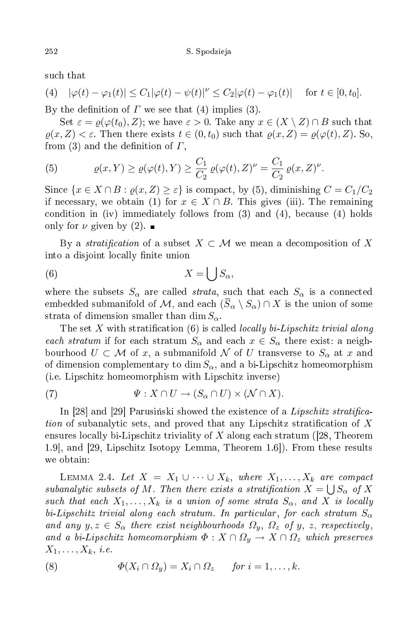su
h that

(4) 
$$
|\varphi(t) - \varphi_1(t)| \le C_1 |\varphi(t) - \psi(t)|^{\nu} \le C_2 |\varphi(t) - \varphi_1(t)| \quad \text{for } t \in [0, t_0].
$$

By the definition of  $\Gamma$  we see that (4) implies (3).

Set  $\varepsilon = \varrho(\varphi(t_0), Z)$ ; we have  $\varepsilon > 0$ . Take any  $x \in (X \setminus Z) \cap B$  such that  $\varrho(x, Z) < \varepsilon$ . Then there exists  $t \in (0, t_0)$  such that  $\varrho(x, Z) = \varrho(\varphi(t), Z)$ . So, from (3) and the definition of  $\Gamma$ ,

(5) 
$$
\varrho(x,Y) \geq \varrho(\varphi(t),Y) \geq \frac{C_1}{C_2} \varrho(\varphi(t),Z)^{\nu} = \frac{C_1}{C_2} \varrho(x,Z)^{\nu}.
$$

Since  $\{x \in X \cap B : \rho(x, Z) \geq \varepsilon\}$  is compact, by (5), diminishing  $C = C_1/C_2$ if necessary, we obtain (1) for  $x \in X \cap B$ . This gives (iii). The remaining condition in (iv) immediately follows from  $(3)$  and  $(4)$ , because  $(4)$  holds only for  $\nu$  given by (2).

By a stratification of a subset  $X \subset \mathcal{M}$  we mean a decomposition of X into a disjoint locally finite union

$$
(6) \t\t X = \bigcup S_{\alpha},
$$

where the subsets  $S_{\alpha}$  are called *strata*, such that each  $S_{\alpha}$  is a connected embedded submanifold of M, and each  $(\overline{S}_{\alpha} \setminus S_{\alpha}) \cap X$  is the union of some strata of dimension smaller than dim  $S_{\alpha}$ .

The set X with stratification  $(6)$  is called *locally bi-Lipschitz trivial along* each stratum if for each stratum  $S_{\alpha}$  and each  $x \in S_{\alpha}$  there exist: a neighbourhood  $U \subset \mathcal{M}$  of x, a submanifold  $\mathcal N$  of U transverse to  $S_\alpha$  at x and of dimension complementary to dim  $S_{\alpha}$ , and a bi-Lipschitz homeomorphism (i.e. Lips
hitz homeomorphism with Lips
hitz inverse)

(7) 
$$
\Psi: X \cap U \to (S_{\alpha} \cap U) \times (\mathcal{N} \cap X).
$$

In [28] and [29] Parusinski showed the existence of a *Lipschitz stratifica* tion of subanalytic sets, and proved that any Lipschitz stratification of  $X$ ensures locally bi-Lipschitz triviality of X along each stratum (28, Theorem 1.9, and [29, Lipschitz Isotopy Lemma, Theorem 1.6.]. From these results we obtain:

LEMMA 2.4. Let  $X = X_1 \cup \cdots \cup X_k$ , where  $X_1, \ldots, X_k$  are compact subanalytic subsets of M. Then there exists a stratification  $X = \bigcup S_{\alpha}$  of X such that each  $X_1, \ldots, X_k$  is a union of some strata  $S_\alpha$ , and X is locally bi-Lipschitz trivial along each stratum. In particular, for each stratum  $S_\alpha$ and any  $y, z \in S_\alpha$  there exist neighbourhoods  $\Omega_y$ ,  $\Omega_z$  of y, z, respectively, and a bi-Lipschitz homeomorphism  $\Phi: X \cap \Omega_y \to X \cap \Omega_z$  which preserves  $X_1, \ldots, X_k, i.e.$ 

(8) 
$$
\Phi(X_i \cap \Omega_y) = X_i \cap \Omega_z \quad \text{for } i = 1, \dots, k.
$$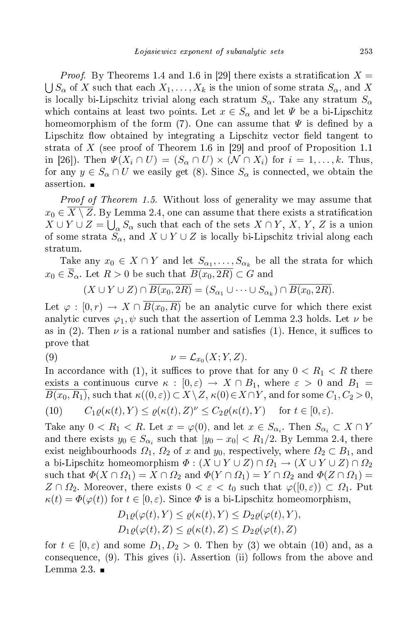Proof.*Proof.* By Theorems 1.4 and 1.6 in [29] there exists a stratification  $X = \bigcup S_{\infty}$  of X such that each  $X_1, \ldots, X_k$  is the union of some strata  $S_{\infty}$  and X  $\bigcup S_\alpha$  of X such that each  $X_1, \ldots, X_k$  is the union of some strata  $S_\alpha$ , and X is locally bi-Lipschitz trivial along each stratum  $S_{\alpha}$ . Take any stratum  $S_{\alpha}$ which contains at least two points. Let  $x \in S_\alpha$  and let  $\Psi$  be a bi-Lipschitz homeomorphism of the form (7). One can assume that  $\Psi$  is defined by a Lipschitz flow obtained by integrating a Lipschitz vector field tangent to strata of X (see proof of Theorem 1.6 in [29] and proof of Proposition 1.1 in [26]). Then  $\Psi(X_i \cap U) = (S_\alpha \cap U) \times (N \cap X_i)$  for  $i = 1, \ldots, k$ . Thus, for any  $y \in S_\alpha \cap U$  we easily get (8). Since  $S_\alpha$  is connected, we obtain the assertion. ■

Proof of Theorem 1.5. Without loss of generality we may assume that  $x_0 \in \overline{X \setminus Z}$ . By Lemma 2.4, one can assume that there exists a stratification  $X \cup Y \cup Z = \bigcup_{\alpha} S_{\alpha}$  such that each of the sets  $X \cap Y, X, Y, Z$  is a union of some strata  $S_{\alpha}$ , and  $X \cup Y \cup Z$  is locally bi-Lipschitz trivial along each stratum.

Take any  $x_0 \in X \cap Y$  and let  $S_{\alpha_1}, \ldots, S_{\alpha_k}$  be all the strata for which  $x_0 \in \overline{S}_\alpha$ . Let  $R > 0$  be such that  $\overline{B(x_0, 2R)} \subset G$  and

$$
(X \cup Y \cup Z) \cap \overline{B(x_0, 2R)} = (S_{\alpha_1} \cup \cdots \cup S_{\alpha_k}) \cap \overline{B(x_0, 2R)}.
$$

Let  $\varphi : [0, r) \to X \cap B(x_0, R)$  be an analytic curve for which there exist analytic curves  $\varphi_1, \psi$  such that the assertion of Lemma 2.3 holds. Let  $\nu$  be as in (2). Then  $\nu$  is a rational number and satisfies (1). Hence, it suffices to prove that

(9) 
$$
\nu = \mathcal{L}_{x_0}(X; Y, Z).
$$

In accordance with (1), it suffices to prove that for any  $0 < R_1 < R$  there exists a continuous curve  $\kappa : [0, \varepsilon) \to X \cap B_1$ , where  $\varepsilon > 0$  and  $B_1 =$  $B(x_0, R_1)$ , such that  $\kappa((0, \varepsilon)) \subset X \setminus Z$ ,  $\kappa(0) \in X \cap Y$ , and for some  $C_1, C_2 > 0$ ,

(10) 
$$
C_1 \varrho(\kappa(t), Y) \leq \varrho(\kappa(t), Z)^{\nu} \leq C_2 \varrho(\kappa(t), Y) \quad \text{for } t \in [0, \varepsilon).
$$

Take any  $0 < R_1 < R$ . Let  $x = \varphi(0)$ , and let  $x \in S_{\alpha_i}$ . Then  $S_{\alpha_i} \subset X \cap Y$ and there exists  $y_0 \in S_{\alpha_i}$  such that  $|y_0 - x_0| < R_1/2$ . By Lemma 2.4, there exist neighbourhoods  $\Omega_1$ ,  $\Omega_2$  of x and  $y_0$ , respectively, where  $\Omega_2 \subset B_1$ , and a bi-Lipschitz homeomorphism  $\varPhi: (X \cup Y \cup Z) \cap \varOmega_1 \to (X \cup Y \cup Z) \cap \varOmega_2$ such that  $\Phi(X \cap \Omega_1) = X \cap \Omega_2$  and  $\Phi(Y \cap \Omega_1) = Y \cap \Omega_2$  and  $\Phi(Z \cap \Omega_1) =$  $Z \cap \Omega_2$ . Moreover, there exists  $0 < \varepsilon < t_0$  such that  $\varphi([0,\varepsilon)) \subset \Omega_1$ . Put  $\kappa(t) = \Phi(\varphi(t))$  for  $t \in [0, \varepsilon)$ . Since  $\Phi$  is a bi-Lipschitz homeomorphism,

$$
D_1 \varrho(\varphi(t), Y) \leq \varrho(\kappa(t), Y) \leq D_2 \varrho(\varphi(t), Y),
$$
  
\n
$$
D_1 \varrho(\varphi(t), Z) \leq \varrho(\kappa(t), Z) \leq D_2 \varrho(\varphi(t), Z)
$$

for  $t \in [0, \varepsilon)$  and some  $D_1, D_2 > 0$ . Then by (3) we obtain (10) and, as a consequence, (9). This gives (i). Assertion (ii) follows from the above and Lemma 2.3.  $\blacksquare$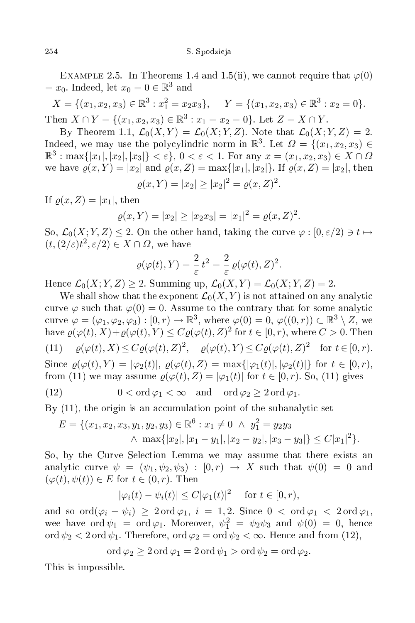EXAMPLE 2.5. In Theorems 1.4 and 1.5(ii), we cannot require that  $\varphi(0)$  $=x_0$ . Indeed, let  $x_0 = 0 \in \mathbb{R}^3$ 

 $X = \{(x_1, x_2, x_3) \in \mathbb{R}^3 : x_1^2 = x_2 x_3\}, \quad Y = \{(x_1, x_2, x_3) \in \mathbb{R}^3 : x_2 = 0\}.$ Then  $X \cap Y = \{(x_1, x_2, x_3) \in \mathbb{R}^3 : x_1 = x_2 = 0\}$ . Let  $Z = X \cap Y$ .

By Theorem 1.1,  $\mathcal{L}_0(X, Y) = \mathcal{L}_0(X; Y, Z)$ . Note that  $\mathcal{L}_0(X; Y, Z) = 2$ . Indeed, we may use the polycylindric norm in  $\mathbb{R}^3$ . Let  $\Omega = \{(x_1, x_2, x_3) \in$  $\mathbb{R}^3$ : max $\{|x_1|, |x_2|, |x_3|\} < \varepsilon$ ,  $0 < \varepsilon < 1$ . For any  $x = (x_1, x_2, x_3) \in X \cap \Omega$ we have  $\rho(x, Y) = |x_2|$  and  $\rho(x, Z) = \max\{|x_1|, |x_2|\}$ . If  $\rho(x, Z) = |x_2|$ , then

$$
\varrho(x,Y) = |x_2| \ge |x_2|^2 = \varrho(x,Z)^2.
$$

If  $\rho(x, Z) = |x_1|$ , then

$$
\varrho(x,Y) = |x_2| \ge |x_2 x_3| = |x_1|^2 = \varrho(x,Z)^2.
$$

So,  $\mathcal{L}_0(X;Y,Z) \leq 2$ . On the other hand, taking the curve  $\varphi : [0,\varepsilon/2) \ni t \mapsto$  $(t, (2/\varepsilon)t^2, \varepsilon/2) \in X \cap \Omega$ , we have

$$
\varrho(\varphi(t), Y) = \frac{2}{\varepsilon} t^2 = \frac{2}{\varepsilon} \varrho(\varphi(t), Z)^2.
$$

Hence  $\mathcal{L}_0(X; Y, Z) \geq 2$ . Summing up,  $\mathcal{L}_0(X, Y) = \mathcal{L}_0(X; Y, Z) = 2$ .

We shall show that the exponent  $\mathcal{L}_0(X, Y)$  is not attained on any analytic curve  $\varphi$  such that  $\varphi(0) = 0$ . Assume to the contrary that for some analytic curve  $\varphi = (\varphi_1, \varphi_2, \varphi_3) : [0, r) \to \mathbb{R}^3$ , where  $\varphi(0) = 0$ ,  $\varphi((0, r)) \subset \mathbb{R}^3 \setminus Z$ , we have  $\varrho(\varphi(t),X)+\varrho(\varphi(t),Y)\leq C\varrho(\varphi(t),Z)^2$  for  $t\in[0,r),$  where  $C>0.$  Then (11)  $\varrho(\varphi(t), X) \leq C \varrho(\varphi(t), Z)^2$ ,  $\varrho(\varphi(t), Y) \leq C \varrho(\varphi(t), Z)^2$  for  $t \in [0, r)$ . Since  $\rho(\varphi(t), Y) = |\varphi_2(t)|$ ,  $\rho(\varphi(t), Z) = \max{\{|\varphi_1(t)|, |\varphi_2(t)|\}}$  for  $t \in [0, r)$ , from (11) we may assume  $\varrho(\varphi(t), Z) = |\varphi_1(t)|$  for  $t \in [0, r)$ . So, (11) gives (12)  $0 < \text{ord }\varphi_1 < \infty \text{ and } \text{ord }\varphi_2 \geq 2 \text{ ord }\varphi_1$ .

By  $(11)$ , the origin is an accumulation point of the subanalytic set

$$
E = \{ (x_1, x_2, x_3, y_1, y_2, y_3) \in \mathbb{R}^6 : x_1 \neq 0 \ \land \ y_1^2 = y_2 y_3 \land \max\{|x_2|, |x_1 - y_1|, |x_2 - y_2|, |x_3 - y_3|\} \le C|x_1|^2 \}.
$$

So, by the Curve Sele
tion Lemma we may assume that there exists an analytic curve  $\psi = (\psi_1, \psi_2, \psi_3) : [0, r) \rightarrow X$  such that  $\psi(0) = 0$  and  $(\varphi(t), \psi(t)) \in E$  for  $t \in (0, r)$ . Then

$$
|\varphi_i(t) - \psi_i(t)| \le C|\varphi_1(t)|^2 \quad \text{ for } t \in [0, r),
$$

and so  $\text{ord}(\varphi_i - \psi_i) \geq 2 \text{ord } \varphi_1$ ,  $i = 1, 2$ . Since  $0 < \text{ord } \varphi_1 < 2 \text{ord } \varphi_1$ , wee have  $\text{ord}\,\psi_1 = \text{ord}\,\varphi_1$ . Moreover,  $\psi_1^2 = \psi_2\psi_3$  and  $\psi(0) = 0$ , hence ord  $\psi_2 < 2$  ord  $\psi_1$ . Therefore, ord  $\varphi_2 = \text{ord } \psi_2 < \infty$ . Hence and from (12),

$$
ord \varphi_2 \geq 2 ord \varphi_1 = 2 ord \psi_1 > ord \psi_2 = ord \varphi_2.
$$

This is impossible.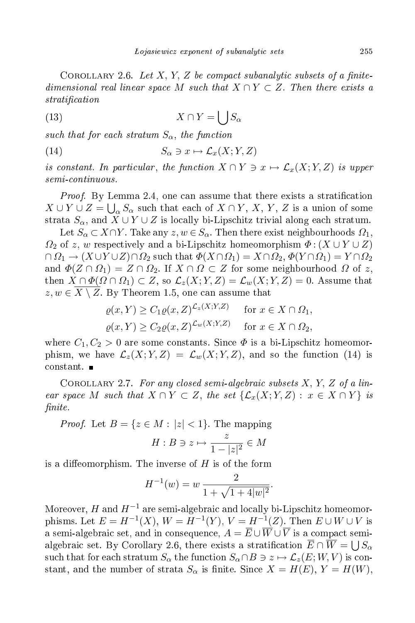COROLLARY 2.6. Let X, Y, Z be compact subanalytic subsets of a finitedimensional real linear space M such that  $X \cap Y \subset Z$ . Then there exists a stration and the stration of the strategy of the strategy of the strategy of the strategy of the strategy of the strategy of the strategy of the strategy of the strategy of the strategy of the strategy of the strategy of t

$$
(13)\t\t X \cap Y = \bigcup S_{\alpha}
$$

such that for each stratum  $S_{\alpha}$ , the function

(14) 
$$
S_{\alpha} \ni x \mapsto \mathcal{L}_x(X;Y,Z)
$$

is constant. In particular, the function  $X \cap Y \ni x \mapsto \mathcal{L}_x(X; Y, Z)$  is upper semiontinuous.

Proof. By Lemma 2.4, one an assume that there exists a strati
ation  $X \cup Y \cup Z = \bigcup_{\alpha} S_{\alpha}$  such that each of  $X \cap Y$ , X, Y, Z is a union of some strata  $S_{\alpha}$ , and  $X \cup Y \cup Z$  is locally bi-Lipschitz trivial along each stratum.

Let  $S_\alpha \subset X \cap Y$ . Take any  $z, w \in S_\alpha$ . Then there exist neighbourhoods  $\Omega_1$ ,  $\Omega_2$  of z, w respectively and a bi-Lipschitz homeomorphism  $\Phi$ :  $(X \cup Y \cup Z)$  $\cap \Omega_1 \to (X \cup Y \cup Z) \cap \Omega_2$  such that  $\Phi(X \cap \Omega_1) = X \cap \Omega_2$ ,  $\Phi(Y \cap \Omega_1) = Y \cap \Omega_2$ and  $\Phi(Z \cap \Omega_1) = Z \cap \Omega_2$ . If  $X \cap \Omega \subset Z$  for some neighbourhood  $\Omega$  of z, then  $X \cap \Phi(\Omega \cap \Omega_1) \subset Z$ , so  $\mathcal{L}_z(X; Y, Z) = \mathcal{L}_w(X; Y, Z) = 0$ . Assume that  $z, w \in X \setminus Z$ . By Theorem 1.5, one can assume that

$$
\varrho(x, Y) \ge C_1 \varrho(x, Z)^{\mathcal{L}_z(X; Y, Z)} \quad \text{for } x \in X \cap \Omega_1,
$$
  

$$
\varrho(x, Y) \ge C_2 \varrho(x, Z)^{\mathcal{L}_w(X; Y, Z)} \quad \text{for } x \in X \cap \Omega_2,
$$

where  $C_1, C_2 > 0$  are some constants. Since  $\Phi$  is a bi-Lipschitz homeomorphism, we have  $\mathcal{L}_z(X;Y,Z) = \mathcal{L}_w(X;Y,Z)$ , and so the function (14) is onstant.

COROLLARY 2.7. For any closed semi-algebraic subsets  $X, Y, Z$  of a linear space M such that  $X \cap Y \subset Z$ , the set  $\{\mathcal{L}_x(X; Y, Z) : x \in X \cap Y\}$  is nite. The contract of the contract of the contract of the contract of the contract of the contract of the contract of the contract of the contract of the contract of the contract of the contract of the contract of the cont

*Proof.* Let  $B = \{z \in M : |z| < 1\}$ . The mapping

$$
H: B \ni z \mapsto \frac{z}{1-|z|^2} \in M
$$

is a diffeomorphism. The inverse of  $H$  is of the form

$$
H^{-1}(w) = w \frac{2}{1 + \sqrt{1 + 4|w|^2}}.
$$

Moreover,  $H$  and  $H^{-1}$  are semi-algebraic and locally bi-Lipschitz homeomorphisms. Let  $E = H^{-1}(X)$ ,  $W = H^{-1}(Y)$ ,  $V = H^{-1}(Z)$ . Then  $E \cup W \cup V$  is a semi-algebraic set, and in consequence,  $A = \overline{E} \cup \overline{W} \cup \overline{V}$  is a compact semialgebraic set. By Corollary 2.6, there exists a stratification  $\overline{E} \cap \overline{W} = \bigcup S_{\alpha}$ such that for each stratum  $S_\alpha$  the function  $S_\alpha \cap B \ni z \mapsto \mathcal{L}_z(E;W,V)$  is constant, and the number of strata  $S_{\alpha}$  is finite. Since  $X = H(E)$ ,  $Y = H(W)$ ,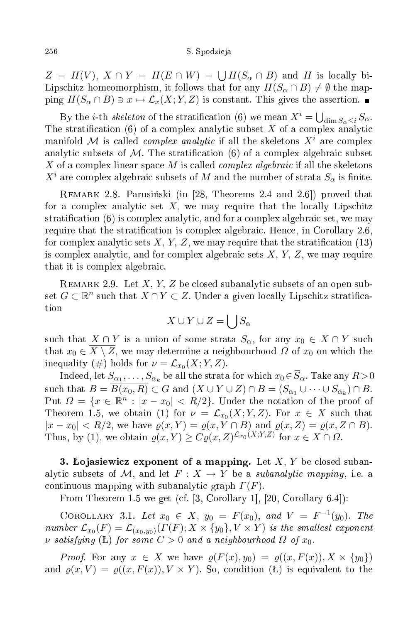$Z = H(V)$ ,  $X \cap Y = H(E \cap W) = \bigcup H(S_\alpha \cap B)$  and H is locally bi-Lipschitz homeomorphism, it follows that for any  $H(S_\alpha \cap B) \neq \emptyset$  the mapping  $H(S_\alpha \cap B) \ni x \mapsto \mathcal{L}_x(X; Y, Z)$  is constant. This gives the assertion.

By the *i*-th *skeleton* of the stratification (6) we mean  $X^i = \bigcup_{\dim S_\alpha \leq i} S_\alpha$ . The stratification (6) of a complex analytic subset X of a complex analytic manifold M is called *complex analytic* if all the skeletons  $X^i$  are complex analytic subsets of M. The stratification (6) of a complex algebraic subset X of a complex linear space M is called *complex algebraic* if all the skeletons  $X^i$  are complex algebraic subsets of M and the number of strata  $S_\alpha$  is finite.

REMARK 2.8. Parusiński (in [28, Theorems 2.4 and 2.6]) proved that for a complex analytic set  $X$ , we may require that the locally Lipschitz stratification  $(6)$  is complex analytic, and for a complex algebraic set, we may require that the stratification is complex algebraic. Hence, in Corollary 2.6, for complex analytic sets  $X, Y, Z$ , we may require that the stratification (13) is complex analytic, and for complex algebraic sets  $X, Y, Z$ , we may require that it is omplex algebrai
.

REMARK 2.9. Let X, Y, Z be closed subanalytic subsets of an open subset  $G \subset \mathbb{R}^n$  such that  $X \cap Y \subset Z$ . Under a given locally Lipschitz stratification

$$
X\cup Y\cup Z=\bigcup S_\alpha
$$

such that  $X \cap Y$  is a union of some strata  $S_\alpha$ , for any  $x_0 \in X \cap Y$  such that  $x_0 \in \overline{X \setminus Z}$ , we may determine a neighbourhood  $\Omega$  of  $x_0$  on which the inequality  $(\#)$  holds for  $\nu = \mathcal{L}_{x_0}(X;Y,Z)$ .

Indeed, let  $S_{\alpha_1},\ldots,S_{\alpha_k}$  be all the strata for which  $x_0\!\in\!S_\alpha.$  Take any  $R\!>\!0$ such that  $B = B(x_0, R) \subset G$  and  $(X \cup Y \cup Z) \cap B = (S_{\alpha_1} \cup \cdots \cup S_{\alpha_k}) \cap B$ . Put  $\Omega = \{x \in \mathbb{R}^n : |x - x_0| < R/2\}$ . Under the notation of the proof of Theorem 1.5, we obtain (1) for  $\nu = \mathcal{L}_{x_0}(X; Y, Z)$ . For  $x \in X$  such that  $|x-x_0| < R/2$ , we have  $\varrho(x,Y) = \varrho(x,Y \cap B)$  and  $\varrho(x,Z) = \varrho(x,Z \cap B)$ . Thus, by (1), we obtain  $\rho(x, Y) \geq C \rho(x, Z)^{\mathcal{L}_{x_0}(X; Y, Z)}$  for  $x \in X \cap \Omega$ .

3. Lojasiewicz exponent of a mapping. Let X, Y be closed subanalytic subsets of M, and let  $F: X \to Y$  be a *subanalytic mapping*, i.e. a continuous mapping with subanalytic graph  $\Gamma(F)$ .

From Theorem 1.5 we get (cf.  $[3, Corollary 1], [20, Corollary 6.4]$ ):

COROLLARY 3.1. Let  $x_0 \in X$ ,  $y_0 = F(x_0)$ , and  $V = F^{-1}(y_0)$ . The number  $\mathcal{L}_{x_0}(F) = \mathcal{L}_{(x_0,y_0)}(\Gamma(F);X\times\{y_0\},V\times Y)$  is the smallest exponent v satisfying (L) for some  $C > 0$  and a neighbourhood  $\Omega$  of  $x_0$ .

*Proof.* For any  $x \in X$  we have  $\varrho(F(x), y_0) = \varrho((x, F(x)), X \times \{y_0\})$ and  $\rho(x, V) = \rho((x, F(x)), V \times Y)$ . So, condition (L) is equivalent to the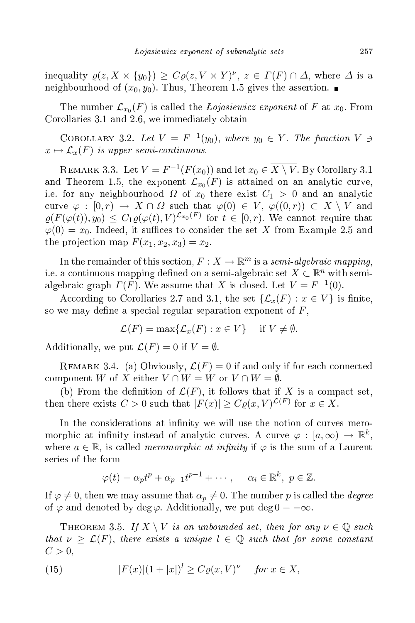inequality  $\varrho(z, X \times \{y_0\}) \ge C \varrho(z, V \times Y)^\nu, z \in \Gamma(F) \cap \Delta$ , where  $\Delta$  is a neighbourhood of  $(x_0, y_0)$ . Thus, Theorem 1.5 gives the assertion.

The number  $\mathcal{L}_{x_0}(F)$  is called the *Łojasiewicz exponent* of  $F$  at  $x_0$ . From Corollaries 3.1 and 2.6, we immediately obtain

COROLLARY 3.2. Let  $V = F^{-1}(y_0)$ , where  $y_0 \in Y$ . The function  $V \ni$  $x \mapsto \mathcal{L}_x(F)$  is upper semi-continuous.

REMARK 3.3. Let  $V = F^{-1}(F(x_0))$  and let  $x_0 \in \overline{X \setminus V}$ . By Corollary 3.1 and Theorem 1.5, the exponent  $\mathcal{L}_{x_0}(F)$  is attained on an analytic curve, i.e. for any neighbourhood  $\Omega$  of  $x_0$  there exist  $C_1 > 0$  and an analytic curve  $\varphi : [0,r) \to X \cap \Omega$  such that  $\varphi(0) \in V$ ,  $\varphi((0,r)) \subset X \setminus V$  and  $\varrho(F(\varphi(t)), y_0) \leq C_1 \varrho(\varphi(t), V)^{\mathcal{L}_{x_0}(F)}$  for  $t \in [0, r)$ . We cannot require that  $\varphi(0) = x_0$ . Indeed, it suffices to consider the set X from Example 2.5 and the projection map  $F(x_1, x_2, x_3) = x_2$ .

In the remainder of this section,  $F:X\to\mathbb{R}^m$  is a  $semi-algebraic\ mapping,$ i.e. a continuous mapping defined on a semi-algebraic set  $X \subset \mathbb{R}^n$  with semialgebraic graph  $\Gamma(F)$ . We assume that X is closed. Let  $V = F^{-1}(0)$ .

According to Corollaries 2.7 and 3.1, the set  $\{\mathcal{L}_x(F) : x \in V\}$  is finite, so we may define a special regular separation exponent of  $F$ ,

$$
\mathcal{L}(F) = \max\{\mathcal{L}_x(F) : x \in V\} \quad \text{if } V \neq \emptyset.
$$

Additionally, we put  $\mathcal{L}(F) = 0$  if  $V = \emptyset$ .

REMARK 3.4. (a) Obviously,  $\mathcal{L}(F) = 0$  if and only if for each connected component W of X either  $V \cap W = W$  or  $V \cap W = \emptyset$ .

(b) From the definition of  $\mathcal{L}(F)$ , it follows that if X is a compact set, then there exists  $C > 0$  such that  $|F(x)| \geq C \varrho(x, V)^{\mathcal{L}(F)}$  for  $x \in X$ .

In the considerations at infinity we will use the notion of curves meromorphic at infinity instead of analytic curves. A curve  $\varphi : [a,\infty) \to \mathbb{R}^k$ , where  $a \in \mathbb{R}$ , is called *meromorphic at infinity* if  $\varphi$  is the sum of a Laurent series of the form

$$
\varphi(t) = \alpha_p t^p + \alpha_{p-1} t^{p-1} + \cdots, \quad \alpha_i \in \mathbb{R}^k, \ p \in \mathbb{Z}.
$$

If  $\varphi \neq 0$ , then we may assume that  $\alpha_p \neq 0$ . The number p is called the *degree* of  $\varphi$  and denoted by deg  $\varphi$ . Additionally, we put deg  $0 = -\infty$ .

THEOREM 3.5. If  $X \setminus V$  is an unbounded set, then for any  $\nu \in \mathbb{Q}$  such that  $\nu \geq \mathcal{L}(F)$ , there exists a unique  $l \in \mathbb{Q}$  such that for some constant  $C>0,$ 

(15) 
$$
|F(x)|(1+|x|)^l \geq C\varrho(x,V)^\nu \quad \text{for } x \in X,
$$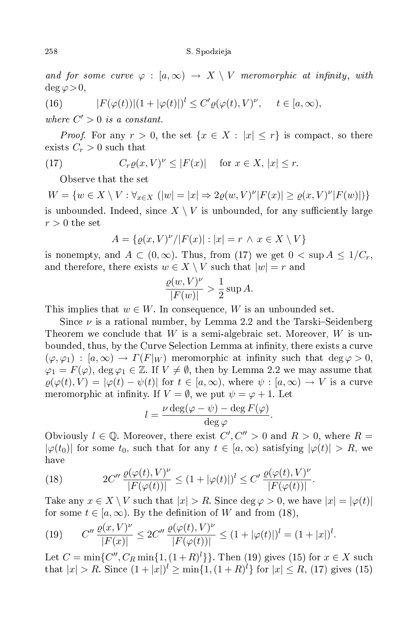and for some curve  $\varphi : [a, \infty) \to X \setminus V$  meromorphic at infinity, with  $\deg \varphi > 0$ ,

(16) 
$$
|F(\varphi(t))|(1+|\varphi(t)|)^{l} \leq C' \varrho(\varphi(t), V)^{\nu}, \quad t \in [a, \infty),
$$

where  $C' > 0$  is a constant.

*Proof.* For any  $r > 0$ , the set  $\{x \in X : |x| \leq r\}$  is compact, so there exists  $C_r > 0$  such that

(17) 
$$
C_r \varrho(x, V)^{\nu} \le |F(x)| \quad \text{for } x \in X, |x| \le r.
$$

Observe that the set

 $W = \{w \in X \setminus V : \forall_{x \in X} (|w| = |x| \Rightarrow 2\rho(w, V)^{\nu} |F(x)| \ge \rho(x, V)^{\nu} |F(w)|)\}$ is unbounded. Indeed, since  $X \setminus V$  is unbounded, for any sufficiently large  $r > 0$  the set

$$
A=\{\varrho(x,V)^{\nu}/|F(x)|:|x|=r \,\wedge\, x\in X\setminus V\}
$$

is nonempty, and  $A \subset (0,\infty)$ . Thus, from (17) we get  $0 < \sup A \leq 1/C_r$ , and therefore, there exists  $w \in X \setminus V$  such that  $|w| = r$  and

$$
\frac{\varrho(w,V)^{\nu}}{|F(w)|} > \frac{1}{2} \sup A.
$$

This implies that  $w \in W$ . In consequence, W is an unbounded set.

Since  $\nu$  is a rational number, by Lemma 2.2 and the Tarski–Seidenberg Theorem we conclude that W is a semi-algebraic set. Moreover,  $W$  is unbounded, thus, by the Curve Selection Lemma at infinity, there exists a curve  $(\varphi, \varphi_1) : [a, \infty) \to \Gamma(F|_W)$  meromorphic at infinity such that  $\deg \varphi > 0$ ,  $\varphi_1 = F(\varphi)$ , deg  $\varphi_1 \in \mathbb{Z}$ . If  $V \neq \emptyset$ , then by Lemma 2.2 we may assume that  $\rho(\varphi(t), V) = |\varphi(t) - \psi(t)|$  for  $t \in [a, \infty)$ , where  $\psi : [a, \infty) \to V$  is a curve meromorphic at infinity. If  $V = \emptyset$ , we put  $\psi = \varphi + 1$ . Let

$$
l = \frac{\nu \deg(\varphi - \psi) - \deg F(\varphi)}{\deg \varphi}.
$$

Obviously  $l \in \mathbb{Q}$ . Moreover, there exist  $C', C'' > 0$  and  $R > 0$ , where  $R =$  $|\varphi(t_0)|$  for some  $t_0$ , such that for any  $t \in [a,\infty)$  satisfying  $|\varphi(t)| > R$ , we have

(18) 
$$
2C'' \frac{\varrho(\varphi(t), V)^{\nu}}{|F(\varphi(t))|} \le (1 + |\varphi(t)|)^{l} \le C' \frac{\varrho(\varphi(t), V)^{\nu}}{|F(\varphi(t))|}
$$

Take any  $x \in X \setminus V$  such that  $|x| > R$ . Since  $\deg \varphi > 0$ , we have  $|x| = |\varphi(t)|$ for some  $t \in [a, \infty)$ . By the definition of W and from (18),

.

(19) 
$$
C'' \frac{\varrho(x, V)^{\nu}}{|F(x)|} \le 2C'' \frac{\varrho(\varphi(t), V)^{\nu}}{|F(\varphi(t))|} \le (1 + |\varphi(t)|)^{l} = (1 + |x|)^{l}.
$$

Let  $C = \min\{C'', C_R \min\{1, (1+R)^l\}\}\)$ . Then (19) gives (15) for  $x \in X$  such that  $|x| > R$ . Since  $(1+|x|)^l \ge \min\{1,(1+R)^l\}$  for  $|x| \le R$ , (17) gives (15)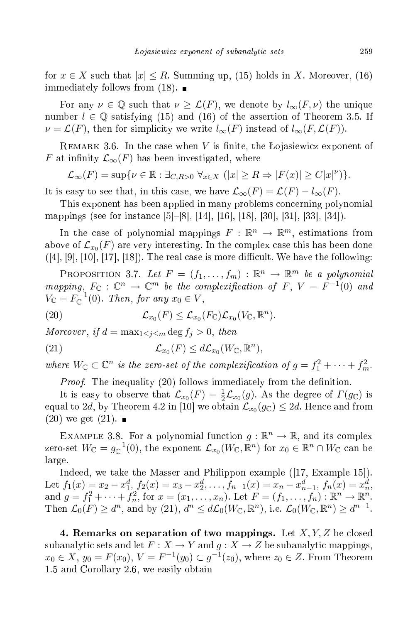for  $x \in X$  such that  $|x| \leq R$ . Summing up, (15) holds in X. Moreover, (16) immediately follows from  $(18)$ .

For any  $\nu \in \mathbb{Q}$  such that  $\nu \geq \mathcal{L}(F)$ , we denote by  $l_{\infty}(F,\nu)$  the unique number  $l \in \mathbb{Q}$  satisfying (15) and (16) of the assertion of Theorem 3.5. If  $\nu = \mathcal{L}(F)$ , then for simplicity we write  $l_{\infty}(F)$  instead of  $l_{\infty}(F, \mathcal{L}(F))$ .

REMARK 3.6. In the case when V is finite, the Łojasiewicz exponent of F at infinity  $\mathcal{L}_{\infty}(F)$  has been investigated, where

$$
\mathcal{L}_{\infty}(F) = \sup \{ \nu \in \mathbb{R} : \exists_{C,R>0} \ \forall_{x \in X} \ (|x| \ge R \Rightarrow |F(x)| \ge C|x|^{\nu}) \}.
$$

It is easy to see that, in this case, we have  $\mathcal{L}_{\infty}(F) = \mathcal{L}(F) - l_{\infty}(F)$ .

This exponent has been applied in many problems concerning polynomial mappings (see for instance [5]–[8], [14], [16], [18], [30], [31], [33], [34]).

In the case of polynomial mappings  $F: \mathbb{R}^n \to \mathbb{R}^m$ , estimations from above of  $\mathcal{L}_{x_0}(F)$  are very interesting. In the complex case this has been done  $([4], [9], [10], [17], [18])$ . The real case is more difficult. We have the following:

PROPOSITION 3.7. Let  $F = (f_1, \ldots, f_m) : \mathbb{R}^n \to \mathbb{R}^m$  be a polynomial mapping,  $F_{\mathbb{C}} : \mathbb{C}^n \to \mathbb{C}^m$  be the complexification of  $F, V = F^{-1}(0)$  and  $V_{\mathbb C}=F_{\mathbb C}^{-1}(0)$ . Then, for any  $x_0\in V$ ,

(20) 
$$
\mathcal{L}_{x_0}(F) \leq \mathcal{L}_{x_0}(F_{\mathbb{C}})\mathcal{L}_{x_0}(V_{\mathbb{C}}, \mathbb{R}^n).
$$

Moreover, if  $d = \max_{1 \leq j \leq m} \deg f_j > 0$ , then

(21) 
$$
\mathcal{L}_{x_0}(F) \leq d\mathcal{L}_{x_0}(W_{\mathbb{C}}, \mathbb{R}^n),
$$

where  $W_{\mathbb{C}} \subset \mathbb{C}^n$  is the zero-set of the complexification of  $g = f_1^2 + \cdots + f_m^2$ .

Proof. The inequality (20) follows immediately from the denition.

It is easy to observe that  $\mathcal{L}_{x_0}(F) = \frac{1}{2}\mathcal{L}_{x_0}(g)$ . As the degree of  $\Gamma(g_{\mathbb{C}})$  is equal to 2d, by Theorem 4.2 in [10] we obtain  $\mathcal{L}_{x_0}(g_{\mathbb{C}}) \leq 2d.$  Hence and from  $(20)$  we get  $(21)$ .

EXAMPLE 3.8. For a polynomial function  $g : \mathbb{R}^n \to \mathbb{R}$ , and its complex zero-set  $W_{\mathbb C}=g_{\mathbb C}^{-1}(0),$  the exponent  ${\mathcal L}_{x_0}(W_{\mathbb C},{\mathbb R}^n)$  for  $x_0\in{\mathbb R}^n\cap W_{\mathbb C}$  can be large.

Indeed, we take the Masser and Philippon example  $(17, \text{Example } 15)$ . Let  $f_1(x) = x_2 - x_1^d$ ,  $f_2(x) = x_3 - x_2^d$ , ...,  $f_{n-1}(x) = x_n - x_{n-1}^d$ ,  $f_n(x) = x_n^d$ ,<br>and  $g = f_1^2 + \cdots + f_n^2$ , for  $x = (x_1, \ldots, x_n)$ . Let  $F = (f_1, \ldots, f_n) : \mathbb{R}^n \to \mathbb{R}^n$ . Then  $\mathcal{L}_0(F) \geq d^n$ , and by (21),  $d^n \leq d\mathcal{L}_0(W_{\mathbb{C}}, \mathbb{R}^n)$ , i.e.  $\mathcal{L}_0(W_{\mathbb{C}}, \mathbb{R}^n) \geq d^{n-1}$ .

4. Remarks on separation of two mappings. Let  $X, Y, Z$  be closed subanalytic sets and let  $F: X \to Y$  and  $g: X \to Z$  be subanalytic mappings,  $x_0 \in X$ ,  $y_0 = F(x_0)$ ,  $V = F^{-1}(y_0) \subset g^{-1}(z_0)$ , where  $z_0 \in Z$ . From Theorem 1.5 and Corollary 2.6, we easily obtain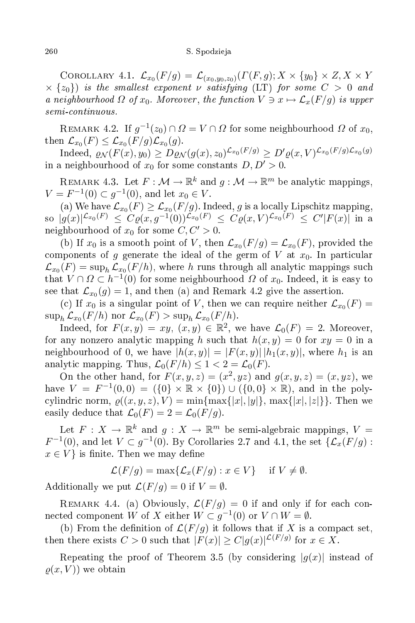## 260 S. Spodzieja i podzielanie podzielanie podzielanie podzielanie podzielanie podzielanie podzielanie podziel

Corollary 4.1.  $\mathcal{L}_{x_0}(F/g)=\mathcal{L}_{(x_0,y_0,z_0)}(\Gamma(F,g);X\times\{y_0\}\times Z,X\times Y)$  $\times \{z_0\}$  is the smallest exponent v satisfying (LT) for some  $C > 0$  and a neighbourhood  $\Omega$  of  $x_0$ . Moreover, the function  $V \ni x \mapsto \mathcal{L}_x(F/g)$  is upper  $semi-continuous.$ 

REMARK 4.2. If  $g^{-1}(z_0) \cap \Omega = V \cap \Omega$  for some neighbourhood  $\Omega$  of  $x_0$ , then  $\mathcal{L}_{x_0}(F) \leq \mathcal{L}_{x_0}(F/g)\mathcal{L}_{x_0}(g)$ .

Indeed,  $\rho_{\mathcal{N}}(F(x), y_0) \geq D \varrho_{\mathcal{N}}(g(x), z_0)^{\mathcal{L}_{x_0}(F/g)} \geq D' \varrho(x, V)^{\mathcal{L}_{x_0}(F/g) \mathcal{L}_{x_0}(g)}$ in a neighbourhood of  $x_0$  for some constants  $D, D' > 0$ .

REMARK 4.3. Let  $F: \mathcal{M} \to \mathbb{R}^k$  and  $g: \mathcal{M} \to \mathbb{R}^m$  be analytic mappings,  $V = F^{-1}(0) \subset g^{-1}(0)$ , and let  $x_0 \in V$ .

(a) We have  $\mathcal{L}_{x_0}(F) \geq \mathcal{L}_{x_0}(F/g)$ . Indeed, g is a locally Lipschitz mapping, so  $|g(x)|^{\mathcal{L}_{x_0}(F)} \leq C \varrho(x,g^{-1}(0))^{\mathcal{L}_{x_0}(F)} \leq C \varrho(x,V)^{\mathcal{L}_{x_0}(F)} \leq C' |F(x)|$  in a neighbourhood of  $x_0$  for some  $C, C' > 0$ .

(b) If  $x_0$  is a smooth point of V, then  $\mathcal{L}_{x_0}(F/g) = \mathcal{L}_{x_0}(F)$ , provided the components of g generate the ideal of the germ of  $V$  at  $x_0$ . In particular  $\mathcal{L}_{x_0}(F)=\sup_h\mathcal{L}_{x_0}(F/h),$  where  $h$  runs through all analytic mappings such that  $V \cap \Omega \subset h^{-1}(0)$  for some neighbourhood  $\Omega$  of  $x_0$ . Indeed, it is easy to see that  $\mathcal{L}_{x_0}(g) = 1$ , and then (a) and Remark 4.2 give the assertion.

(c) If  $x_0$  is a singular point of V, then we can require neither  $\mathcal{L}_{x_0}(F) =$  $\sup_h \mathcal{L}_{x_0}(F/h)$  nor  $\mathcal{L}_{x_0}(F) > \sup_h \mathcal{L}_{x_0}(F/h)$ .

Indeed, for  $F(x,y) = xy, (x,y) \in \mathbb{R}^2$ , we have  $\mathcal{L}_0(F) = 2$ . Moreover, for any nonzero analytic mapping h such that  $h(x, y) = 0$  for  $xy = 0$  in a neighbourhood of 0, we have  $|h(x, y)| = |F(x, y)| |h_1(x, y)|$ , where  $h_1$  is an analytic mapping. Thus,  $\mathcal{L}_0(F/h) \leq 1 < 2 = \mathcal{L}_0(F)$ .

On the other hand, for  $F(x, y, z) = (x^2, yz)$  and  $g(x, y, z) = (x, yz)$ , we have  $V = F^{-1}(0,0) = (\{0\} \times \mathbb{R} \times \{0\}) \cup (\{0,0\} \times \mathbb{R})$ , and in the polycylindric norm,  $\rho((x, y, z), V) = \min\{\max\{|x|, |y|\}, \max\{|x|, |z|\}\}\.$  Then we easily deduce that  $\mathcal{L}_0(F) = 2 = \mathcal{L}_0(F/g)$ .

Let  $F: X \to \mathbb{R}^k$  and  $g: X \to \mathbb{R}^m$  be semi-algebraic mappings,  $V =$  $F^{-1}(0)$ , and let  $V \subset g^{-1}(0)$ . By Corollaries 2.7 and 4.1, the set  $\{\mathcal{L}_x(F/g):$  $x \in V$  is finite. Then we may define

$$
\mathcal{L}(F/g) = \max\{\mathcal{L}_x(F/g) : x \in V\} \quad \text{if } V \neq \emptyset.
$$

Additionally we put  $\mathcal{L}(F/q) = 0$  if  $V = \emptyset$ .

REMARK 4.4. (a) Obviously,  $\mathcal{L}(F/g) = 0$  if and only if for each connected component W of X either  $W \subset g^{-1}(0)$  or  $V \cap W = \emptyset$ .

(b) From the definition of  $\mathcal{L}(F/q)$  it follows that if X is a compact set, then there exists  $C > 0$  such that  $|F(x)| \ge C|g(x)|^{\mathcal{L}(F/g)}$  for  $x \in X$ .

Repeating the proof of Theorem 3.5 (by considering  $|g(x)|$  instead of  $\rho(x, V)$  we obtain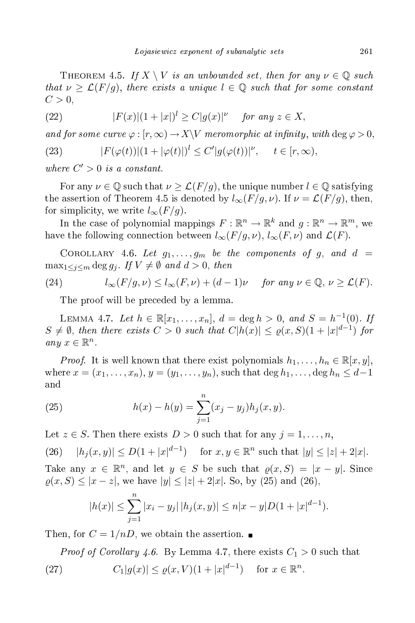THEOREM 4.5. If  $X \setminus V$  is an unbounded set, then for any  $\nu \in \mathbb{Q}$  such that  $\nu \geq \mathcal{L}(F/g)$ , there exists a unique  $l \in \mathbb{Q}$  such that for some constant  $C>0$ ,

(22) 
$$
|F(x)|(1+|x|)^{l} \geq C|g(x)|^{\nu} \quad \text{for any } z \in X,
$$

and for some curve  $\varphi : [r, \infty) \to X \backslash V$  meromorphic at infinity, with  $\deg \varphi > 0$ ,

(23) 
$$
|F(\varphi(t))|(1+|\varphi(t)|)^{l} \leq C'|g(\varphi(t))|^{\nu}, \quad t \in [r, \infty),
$$

where  $C' > 0$  is a constant.

For any  $\nu \in \mathbb{Q}$  such that  $\nu \geq \mathcal{L}(F/g)$ , the unique number  $l \in \mathbb{Q}$  satisfying the assertion of Theorem 4.5 is denoted by  $l_{\infty}(F/g, \nu)$ . If  $\nu = \mathcal{L}(F/g)$ , then, for simplicity, we write  $l_{\infty}(F/g)$ .

In the case of polynomial mappings  $F: \mathbb{R}^n \to \mathbb{R}^k$  and  $g: \mathbb{R}^n \to \mathbb{R}^m$ , we have the following connection between  $l_{\infty}(F/g, \nu)$ ,  $l_{\infty}(F, \nu)$  and  $\mathcal{L}(F)$ .

COROLLARY 4.6. Let  $g_1, \ldots, g_m$  be the components of g, and  $d =$  $\max_{1 \leq j \leq m} \deg g_j$ . If  $V \neq \emptyset$  and  $d > 0$ , then

(24) 
$$
l_{\infty}(F/g, \nu) \le l_{\infty}(F, \nu) + (d-1)\nu
$$
 for any  $\nu \in \mathbb{Q}, \nu \ge \mathcal{L}(F)$ .

The proof will be preceded by a lemma.

LEMMA 4.7. Let  $h \in \mathbb{R}[x_1, ..., x_n], d = \deg h > 0, and S = h^{-1}(0).$  If  $S \neq \emptyset$ , then there exists  $C > 0$  such that  $C|h(x)| \leq \varrho(x, S)(1+|x|^{d-1})$  for any  $x \in \mathbb{R}^n$ .

*Proof.* It is well known that there exist polynomials  $h_1, \ldots, h_n \in \mathbb{R}[x, y]$ , where  $x = (x_1, ..., x_n), y = (y_1, ..., y_n)$ , such that  $\deg h_1, ..., \deg h_n \leq d-1$  $\quad {\rm and} \quad$ 

(25) 
$$
h(x) - h(y) = \sum_{j=1}^{n} (x_j - y_j) h_j(x, y).
$$

Let  $z \in S$ . Then there exists  $D > 0$  such that for any  $j = 1, \ldots, n$ ,

(26)  $|h_j(x, y)| \le D(1+|x|^{d-1})$  for  $x, y \in \mathbb{R}^n$  such that  $|y| \le |z| + 2|x|$ .

Take any  $x \in \mathbb{R}^n$ , and let  $y \in S$  be such that  $\varrho(x, S) = |x - y|$ . Since  $\varrho(x, S) \leq |x - z|$ , we have  $|y| \leq |z| + 2|x|$ . So, by (25) and (26),

$$
|h(x)| \le \sum_{j=1}^n |x_i - y_j| \, |h_j(x, y)| \le n|x - y| D(1 + |x|^{d-1}).
$$

Then, for  $C = 1/nD$ , we obtain the assertion.

*Proof of Corollary 4.6.* By Lemma 4.7, there exists  $C_1 > 0$  such that (27)  $C_1|g(x)| \le \varrho(x,V)(1+|x|^{d-1})$  for  $x \in \mathbb{R}^n$ .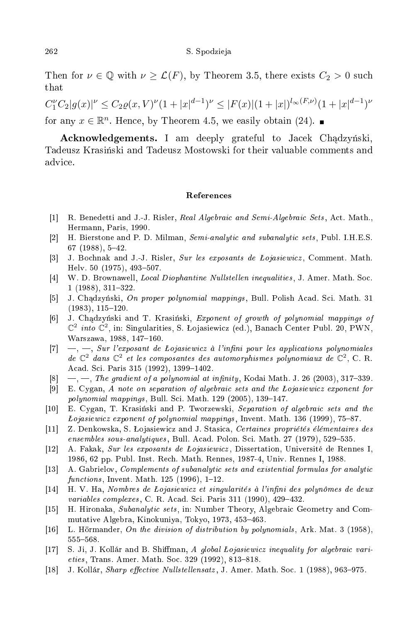Then for  $\nu \in \mathbb{Q}$  with  $\nu \geq \mathcal{L}(F)$ , by Theorem 3.5, there exists  $C_2 > 0$  such that

 $C_1^{\nu}C_2|g(x)|^{\nu} \leq C_2\varrho(x,V)^{\nu}(1+|x|^{d-1})^{\nu} \leq |F(x)|(1+|x|)^{l_{\infty}(F,\nu)}(1+|x|^{d-1})^{\nu}$ for any  $x \in \mathbb{R}^n$ . Hence, by Theorem 4.5, we easily obtain (24).

Acknowledgements. I am deeply grateful to Jacek Chadzyński, Tadeusz Krasiński and Tadeusz Mostowski for their valuable comments and advi
e.

## **References**

- [1] R. Benedetti and J.-J. Risler, Real Algebraic and Semi-Algebraic Sets, Act. Math., Hermann, Paris, 1990.
- $\lceil 2 \rceil$ H. Bierstone and P. D. Milman, Semi-analytic and subanalytic sets, Publ. I.H.E.S.  $\mathcal{A}$  and  $\mathcal{A}$  and  $\mathcal{A}$  and  $\mathcal{A}$  $67$  (1988),  $5-42$ .
- [3] J. Bochnak and J.-J. Risler, Sur les exposants de Lojasiewicz, Comment. Math. Helv. 50 (1975), 493-507.
- [4] W. D. Brownawell, *Local Diophantine Nullstellen inequalities*, J. Amer. Math. Soc.  $1(1988), 311-322.$
- [5] J. Chądzyński, On proper polynomial mappings, Bull. Polish Acad. Sci. Math. 31  $(1983), 115-120.$
- [6] J. Chądzyński and T. Krasiński, Exponent of growth of polynomial mappings of  $\mathbb{C}^2$  into  $\mathbb{C}^2$ , in: Singularities, S. Lojasiewicz (ed.), Banach Center Publ. 20, PWN, Warszawa, 1988, 147-160.
- $[7] \quad -$ ,  $\quad$ , Sur l'exposant de Lojasiewicz à l'infini pour les applications polynomiales de  $\mathbb{C}^2$  dans  $\mathbb{C}^2$  et les composantes des automorphismes polynomiaux de  $\mathbb{C}^2$ , C. R. Acad. Sci. Paris 315 (1992), 1399-1402.
- [8]  $\rightarrow$ ,  $\rightarrow$ , *The gradient of a polynomial at infinity*, Kodai Math. J. 26 (2003), 317-339.
- $[9]$  E. Cygan, A note on separation of algebraic sets and the Lojasiewicz exponent for polynomial mappings, Bull. Sci. Math. 129 (2005), 139-147.
- [10] E. Cygan, T. Krasiński and P. Tworzewski, Separation of algebraic sets and the *Lojasiewicz exponent of polynomial mappings*, Invent. Math. 136 (1999), 75–87.
- [11] Z. Denkowska, S. Łojasiewicz and J. Stasica, Certaines propriétés élémentaires des ensembles sous-analytiques, Bull. Acad. Polon. Sci. Math. 27 (1979), 529-535.
- [12] A. Fakak, Sur les exposants de Lojasiewicz, Dissertation, Université de Rennes I, 1986, 62 pp. Publ. Inst. Re
h. Math. Rennes, 1987-4, Univ. Rennes I, 1988.
- [13] A. Gabrielov, Complements of subanalytic sets and existential formulas for analytic functions, Invent. Math.  $125$  (1996), 1-12.
- [14] H. V. Ha, Nombres de Lojasiewicz et singularités à l'infini des polynômes de deux variables complexes, C. R. Acad. Sci. Paris 311 (1990), 429–432.
- [15] H. Hironaka, Subanalytic sets, in: Number Theory, Algebraic Geometry and Commutative Algebra, Kinokuniya, Tokyo, 1973, 453-463.
- [16] L. Hörmander, On the division of distribution by polynomials, Ark. Mat. 3 (1958), 555568.
- [17] S. Ji, J. Kollár and B. Shiffman, A global Lojasiewicz inequality for algebraic varieties, Trans. Amer. Math. Soc. 329 (1992), 813-818.
- [18] J. Kollár, *Sharp effective Nullstellensatz*, J. Amer. Math. Soc. 1 (1988), 963–975.